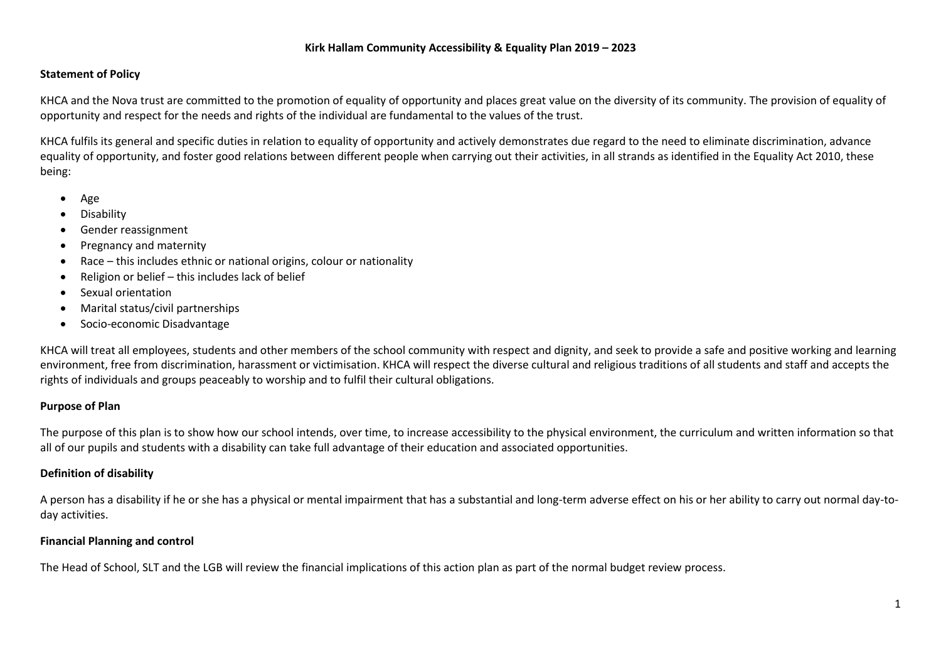#### **Statement of Policy**

KHCA and the Nova trust are committed to the promotion of equality of opportunity and places great value on the diversity of its community. The provision of equality of opportunity and respect for the needs and rights of the individual are fundamental to the values of the trust.

KHCA fulfils its general and specific duties in relation to equality of opportunity and actively demonstrates due regard to the need to eliminate discrimination, advance equality of opportunity, and foster good relations between different people when carrying out their activities, in all strands as identified in the Equality Act 2010, these being:

- Age
- Disability
- Gender reassignment
- Pregnancy and maternity
- Race this includes ethnic or national origins, colour or nationality
- Religion or belief this includes lack of belief
- Sexual orientation
- Marital status/civil partnerships
- Socio-economic Disadvantage

KHCA will treat all employees, students and other members of the school community with respect and dignity, and seek to provide a safe and positive working and learning environment, free from discrimination, harassment or victimisation. KHCA will respect the diverse cultural and religious traditions of all students and staff and accepts the rights of individuals and groups peaceably to worship and to fulfil their cultural obligations.

#### **Purpose of Plan**

The purpose of this plan is to show how our school intends, over time, to increase accessibility to the physical environment, the curriculum and written information so that all of our pupils and students with a disability can take full advantage of their education and associated opportunities.

#### **Definition of disability**

A person has a disability if he or she has a physical or mental impairment that has a substantial and long-term adverse effect on his or her ability to carry out normal day-today activities.

#### **Financial Planning and control**

The Head of School, SLT and the LGB will review the financial implications of this action plan as part of the normal budget review process.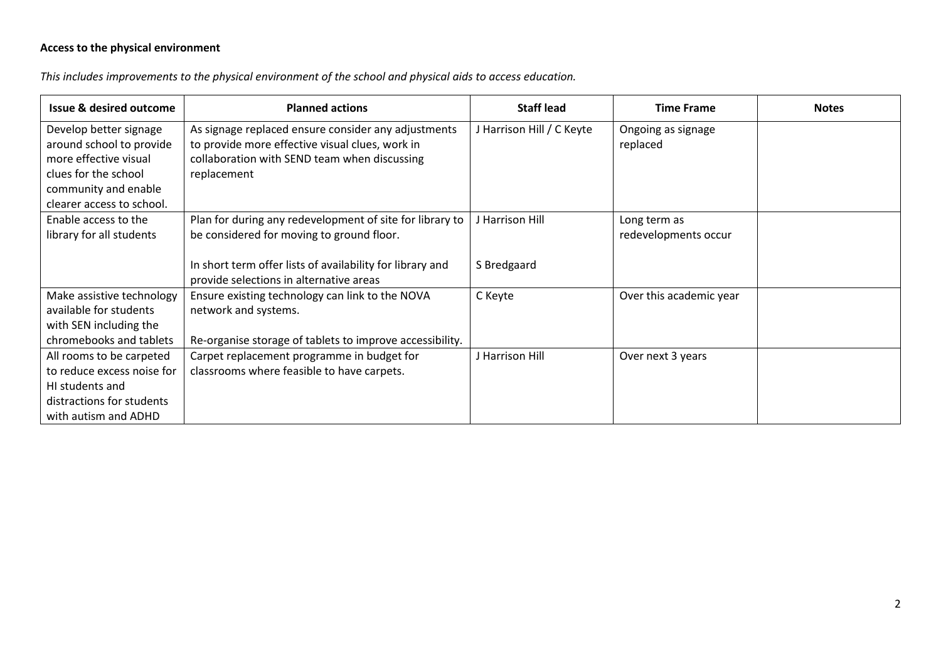# **Access to the physical environment**

*This includes improvements to the physical environment of the school and physical aids to access education.*

| <b>Issue &amp; desired outcome</b>            | <b>Planned actions</b>                                    | <b>Staff lead</b>         | <b>Time Frame</b>       | <b>Notes</b> |
|-----------------------------------------------|-----------------------------------------------------------|---------------------------|-------------------------|--------------|
| Develop better signage                        | As signage replaced ensure consider any adjustments       | J Harrison Hill / C Keyte | Ongoing as signage      |              |
| around school to provide                      | to provide more effective visual clues, work in           |                           | replaced                |              |
| more effective visual<br>clues for the school | collaboration with SEND team when discussing              |                           |                         |              |
| community and enable                          | replacement                                               |                           |                         |              |
| clearer access to school.                     |                                                           |                           |                         |              |
| Enable access to the                          | Plan for during any redevelopment of site for library to  | J Harrison Hill           | Long term as            |              |
| library for all students                      | be considered for moving to ground floor.                 |                           | redevelopments occur    |              |
|                                               |                                                           |                           |                         |              |
|                                               | In short term offer lists of availability for library and | S Bredgaard               |                         |              |
|                                               | provide selections in alternative areas                   |                           |                         |              |
| Make assistive technology                     | Ensure existing technology can link to the NOVA           | C Keyte                   | Over this academic year |              |
| available for students                        | network and systems.                                      |                           |                         |              |
| with SEN including the                        |                                                           |                           |                         |              |
| chromebooks and tablets                       | Re-organise storage of tablets to improve accessibility.  |                           |                         |              |
| All rooms to be carpeted                      | Carpet replacement programme in budget for                | J Harrison Hill           | Over next 3 years       |              |
| to reduce excess noise for                    | classrooms where feasible to have carpets.                |                           |                         |              |
| HI students and                               |                                                           |                           |                         |              |
| distractions for students                     |                                                           |                           |                         |              |
| with autism and ADHD                          |                                                           |                           |                         |              |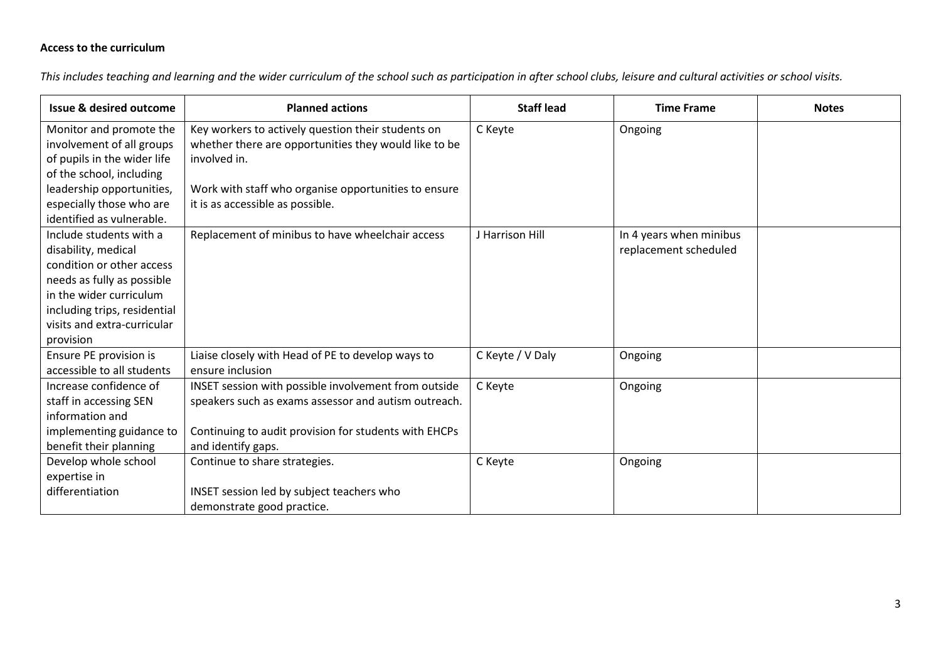## **Access to the curriculum**

*This includes teaching and learning and the wider curriculum of the school such as participation in after school clubs, leisure and cultural activities or school visits.*

| <b>Issue &amp; desired outcome</b> | <b>Planned actions</b>                                | <b>Staff lead</b> | <b>Time Frame</b>       | <b>Notes</b> |
|------------------------------------|-------------------------------------------------------|-------------------|-------------------------|--------------|
| Monitor and promote the            | Key workers to actively question their students on    | C Keyte           | Ongoing                 |              |
| involvement of all groups          | whether there are opportunities they would like to be |                   |                         |              |
| of pupils in the wider life        | involved in.                                          |                   |                         |              |
| of the school, including           |                                                       |                   |                         |              |
| leadership opportunities,          | Work with staff who organise opportunities to ensure  |                   |                         |              |
| especially those who are           | it is as accessible as possible.                      |                   |                         |              |
| identified as vulnerable.          |                                                       |                   |                         |              |
| Include students with a            | Replacement of minibus to have wheelchair access      | J Harrison Hill   | In 4 years when minibus |              |
| disability, medical                |                                                       |                   | replacement scheduled   |              |
| condition or other access          |                                                       |                   |                         |              |
| needs as fully as possible         |                                                       |                   |                         |              |
| in the wider curriculum            |                                                       |                   |                         |              |
| including trips, residential       |                                                       |                   |                         |              |
| visits and extra-curricular        |                                                       |                   |                         |              |
| provision                          |                                                       |                   |                         |              |
| Ensure PE provision is             | Liaise closely with Head of PE to develop ways to     | C Keyte / V Daly  | Ongoing                 |              |
| accessible to all students         | ensure inclusion                                      |                   |                         |              |
| Increase confidence of             | INSET session with possible involvement from outside  | C Keyte           | Ongoing                 |              |
| staff in accessing SEN             | speakers such as exams assessor and autism outreach.  |                   |                         |              |
| information and                    |                                                       |                   |                         |              |
| implementing guidance to           | Continuing to audit provision for students with EHCPs |                   |                         |              |
| benefit their planning             | and identify gaps.                                    |                   |                         |              |
| Develop whole school               | Continue to share strategies.                         | C Keyte           | Ongoing                 |              |
| expertise in                       |                                                       |                   |                         |              |
| differentiation                    | INSET session led by subject teachers who             |                   |                         |              |
|                                    | demonstrate good practice.                            |                   |                         |              |